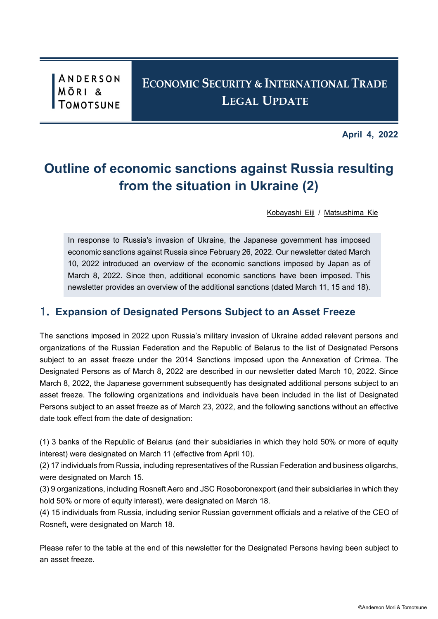ANDERSON **MÖRI** &

**April 4, 2022**

# **Outline of economic sanctions against Russia resulting from the situation in Ukraine (2)**

[Kobayashi Eiji](https://www.amt-law.com/en/professionals/profile/EIK) / [Matsushima Kie](https://www.amt-law.com/en/professionals/profile/KMM)

In response to Russia's invasion of Ukraine, the Japanese government has imposed economic sanctions against Russia since February 26, 2022. Our newsletter dated March 10, 2022 introduced an overview of the economic sanctions imposed by Japan as of March 8, 2022. Since then, additional economic sanctions have been imposed. This newsletter provides an overview of the additional sanctions (dated March 11, 15 and 18).

### 1. **Expansion of Designated Persons Subject to an Asset Freeze**

The sanctions imposed in 2022 upon Russia's military invasion of Ukraine added relevant persons and organizations of the Russian Federation and the Republic of Belarus to the list of Designated Persons subject to an asset freeze under the 2014 Sanctions imposed upon the Annexation of Crimea. The Designated Persons as of March 8, 2022 are described in our newsletter dated March 10, 2022. Since March 8, 2022, the Japanese government subsequently has designated additional persons subject to an asset freeze. The following organizations and individuals have been included in the list of Designated Persons subject to an asset freeze as of March 23, 2022, and the following sanctions without an effective date took effect from the date of designation:

(1) 3 banks of the Republic of Belarus (and their subsidiaries in which they hold 50% or more of equity interest) were designated on March 11 (effective from April 10).

(2) 17 individuals from Russia, including representatives of the Russian Federation and business oligarchs, were designated on March 15.

(3) 9 organizations, including Rosneft Aero and JSC Rosoboronexport (and their subsidiaries in which they hold 50% or more of equity interest), were designated on March 18.

(4) 15 individuals from Russia, including senior Russian government officials and a relative of the CEO of Rosneft, were designated on March 18.

Please refer to the table at the end of this newsletter for the Designated Persons having been subject to an asset freeze.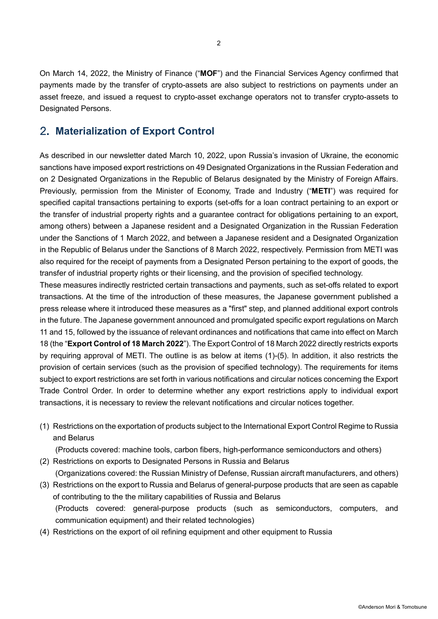On March 14, 2022, the Ministry of Finance ("**MOF**") and the Financial Services Agency confirmed that payments made by the transfer of crypto-assets are also subject to restrictions on payments under an asset freeze, and issued a request to crypto-asset exchange operators not to transfer crypto-assets to Designated Persons.

## 2. **Materialization of Export Control**

As described in our newsletter dated March 10, 2022, upon Russia's invasion of Ukraine, the economic sanctions have imposed export restrictions on 49 Designated Organizations in the Russian Federation and on 2 Designated Organizations in the Republic of Belarus designated by the Ministry of Foreign Affairs. Previously, permission from the Minister of Economy, Trade and Industry ("**METI**") was required for specified capital transactions pertaining to exports (set-offs for a loan contract pertaining to an export or the transfer of industrial property rights and a guarantee contract for obligations pertaining to an export, among others) between a Japanese resident and a Designated Organization in the Russian Federation under the Sanctions of 1 March 2022, and between a Japanese resident and a Designated Organization in the Republic of Belarus under the Sanctions of 8 March 2022, respectively. Permission from METI was also required for the receipt of payments from a Designated Person pertaining to the export of goods, the transfer of industrial property rights or their licensing, and the provision of specified technology.

These measures indirectly restricted certain transactions and payments, such as set-offs related to export transactions. At the time of the introduction of these measures, the Japanese government published a press release where it introduced these measures as a "first" step, and planned additional export controls in the future. The Japanese government announced and promulgated specific export regulations on March 11 and 15, followed by the issuance of relevant ordinances and notifications that came into effect on March 18 (the "**Export Control of 18 March 2022**"). The Export Control of 18 March 2022 directly restricts exports by requiring approval of METI. The outline is as below at items (1)-(5). In addition, it also restricts the provision of certain services (such as the provision of specified technology). The requirements for items subject to export restrictions are set forth in various notifications and circular notices concerning the Export Trade Control Order. In order to determine whether any export restrictions apply to individual export transactions, it is necessary to review the relevant notifications and circular notices together.

(1) Restrictions on the exportation of products subject to the International Export Control Regime to Russia and Belarus

(Products covered: machine tools, carbon fibers, high-performance semiconductors and others)

- (2) Restrictions on exports to Designated Persons in Russia and Belarus (Organizations covered: the Russian Ministry of Defense, Russian aircraft manufacturers, and others)
- (3) Restrictions on the export to Russia and Belarus of general-purpose products that are seen as capable of contributing to the the military capabilities of Russia and Belarus (Products covered: general-purpose products (such as semiconductors, computers, and communication equipment) and their related technologies)
- (4) Restrictions on the export of oil refining equipment and other equipment to Russia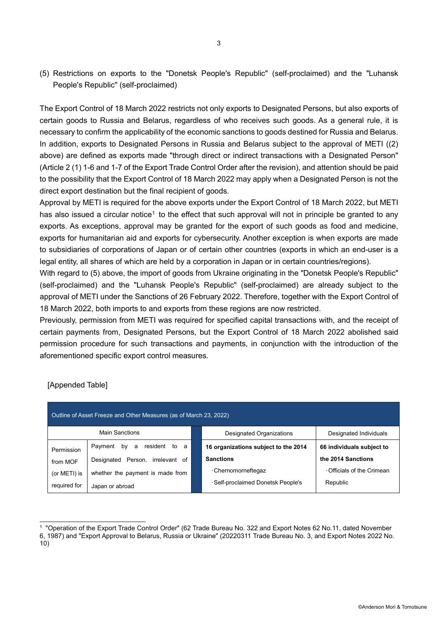(5) Restrictions on exports to the "Donetsk People's Republic" (self-proclaimed) and the "Luhansk People's Republic" (self-proclaimed)

The Export Control of 18 March 2022 restricts not only exports to Designated Persons, but also exports of certain goods to Russia and Belarus, regardless of who receives such goods. As a general rule, it is necessary to confirm the applicability of the economic sanctions to goods destined for Russia and Belarus. In addition, exports to Designated Persons in Russia and Belarus subject to the approval of METI ((2) above) are defined as exports made "through direct or indirect transactions with a Designated Person" (Article 2 (1) 1-6 and 1-7 of the Export Trade Control Order after the revision), and attention should be paid to the possibility that the Export Control of 18 March 2022 may apply when a Designated Person is not the direct export destination but the final recipient of goods.

Approval by METI is required for the above exports under the Export Control of 18 March 2022, but METI has also issued a circular notice<sup>[1](#page-2-0)</sup> to the effect that such approval will not in principle be granted to any exports. As exceptions, approval may be granted for the export of such goods as food and medicine, exports for humanitarian aid and exports for cybersecurity. Another exception is when exports are made to subsidiaries of corporations of Japan or of certain other countries (exports in which an end-user is a legal entity, all shares of which are held by a corporation in Japan or in certain countries/regions).

With regard to (5) above, the import of goods from Ukraine originating in the "Donetsk People's Republic" (self-proclaimed) and the "Luhansk People's Republic" (self-proclaimed) are already subject to the approval of METI under the Sanctions of 26 February 2022. Therefore, together with the Export Control of 18 March 2022, both imports to and exports from these regions are now restricted.

Previously, permission from METI was required for specified capital transactions with, and the receipt of certain payments from, Designated Persons, but the Export Control of 18 March 2022 abolished said permission procedure for such transactions and payments, in conjunction with the introduction of the aforementioned specific export control measures.

| Outline of Asset Freeze and Other Measures (as of March 23, 2022) |                                    |  |                                      |                           |  |
|-------------------------------------------------------------------|------------------------------------|--|--------------------------------------|---------------------------|--|
|                                                                   | Main Sanctions                     |  | Designated Organizations             | Designated Individuals    |  |
| Permission                                                        | by a resident to<br>Payment<br>- a |  | 16 organizations subject to the 2014 | 66 individuals subject to |  |
| from MOF                                                          | Designated Person, irrelevant of   |  | <b>Sanctions</b>                     | the 2014 Sanctions        |  |
| (or METI) is                                                      | whether the payment is made from   |  | · Chernomorneftegaz                  | Officials of the Crimean  |  |
| required for                                                      | Japan or abroad                    |  | · Self-proclaimed Donetsk People's   | Republic                  |  |

### [Appended Table]

<sup>-</sup><sup>1</sup> "Operation of the Export Trade Control Order" (62 Trade Bureau No. 322 and Export Notes 62 No.11, dated November

<span id="page-2-0"></span><sup>6, 1987)</sup> and "Export Approval to Belarus, Russia or Ukraine" (20220311 Trade Bureau No. 3, and Export Notes 2022 No. 10)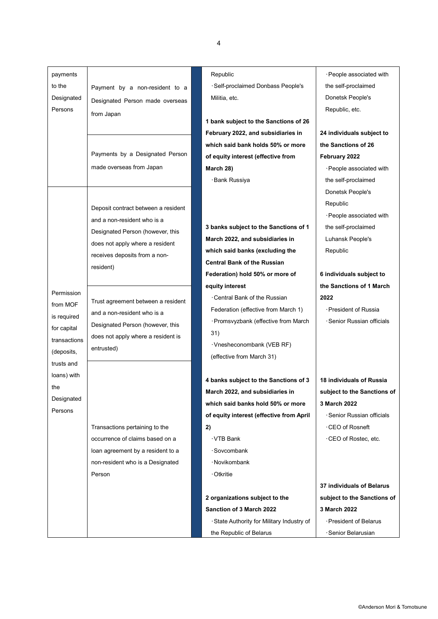| payments     |                                     | Republic                                   | · People associated with    |
|--------------|-------------------------------------|--------------------------------------------|-----------------------------|
| to the       | Payment by a non-resident to a      | · Self-proclaimed Donbass People's         | the self-proclaimed         |
| Designated   | Designated Person made overseas     | Militia, etc.                              | Donetsk People's            |
| Persons      | from Japan                          |                                            | Republic, etc.              |
|              |                                     | 1 bank subject to the Sanctions of 26      |                             |
|              |                                     | February 2022, and subsidiaries in         | 24 individuals subject to   |
|              |                                     | which said bank holds 50% or more          | the Sanctions of 26         |
|              | Payments by a Designated Person     | of equity interest (effective from         | February 2022               |
|              | made overseas from Japan            | March 28)                                  | · People associated with    |
|              |                                     | ·Bank Russiya                              | the self-proclaimed         |
|              |                                     |                                            | Donetsk People's            |
|              | Deposit contract between a resident |                                            | Republic                    |
|              | and a non-resident who is a         |                                            | · People associated with    |
|              |                                     | 3 banks subject to the Sanctions of 1      | the self-proclaimed         |
|              | Designated Person (however, this    | March 2022, and subsidiaries in            | Luhansk People's            |
|              | does not apply where a resident     | which said banks (excluding the            | Republic                    |
|              | receives deposits from a non-       | <b>Central Bank of the Russian</b>         |                             |
|              | resident)                           | Federation) hold 50% or more of            | 6 individuals subject to    |
|              |                                     | equity interest                            | the Sanctions of 1 March    |
| Permission   | Trust agreement between a resident  | ⋅Central Bank of the Russian               | 2022                        |
| from MOF     | and a non-resident who is a         | Federation (effective from March 1)        | · President of Russia       |
| is required  | Designated Person (however, this    | · Promsvyzbank (effective from March       | · Senior Russian officials  |
| for capital  | does not apply where a resident is  | 31)                                        |                             |
| transactions | entrusted)                          | ·Vnesheconombank (VEB RF)                  |                             |
| (deposits,   |                                     | (effective from March 31)                  |                             |
| trusts and   |                                     |                                            |                             |
| loans) with  |                                     | 4 banks subject to the Sanctions of 3      | 18 individuals of Russia    |
| the          |                                     | March 2022, and subsidiaries in            | subject to the Sanctions of |
| Designated   |                                     | which said banks hold 50% or more          | 3 March 2022                |
| Persons      |                                     | of equity interest (effective from April   | · Senior Russian officials  |
|              | Transactions pertaining to the      | 2)                                         | ⋅CEO of Rosneft             |
|              | occurrence of claims based on a     | ∙VTB Bank                                  | ·CEO of Rostec, etc.        |
|              | loan agreement by a resident to a   | · Sovcombank                               |                             |
|              | non-resident who is a Designated    | ·Novikombank                               |                             |
|              | Person                              | ∙Otkritie                                  |                             |
|              |                                     |                                            | 37 individuals of Belarus   |
|              |                                     | 2 organizations subject to the             | subject to the Sanctions of |
|              |                                     | Sanction of 3 March 2022                   | 3 March 2022                |
|              |                                     | · State Authority for Military Industry of | President of Belarus        |
|              |                                     | the Republic of Belarus                    | · Senior Belarusian         |
|              |                                     |                                            |                             |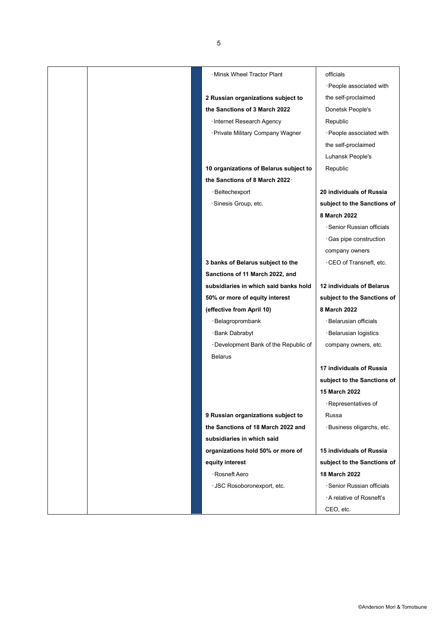| · Minsk Wheel Tractor Plant            | officials                   |
|----------------------------------------|-----------------------------|
|                                        | · People associated with    |
| 2 Russian organizations subject to     | the self-proclaimed         |
| the Sanctions of 3 March 2022          | Donetsk People's            |
| · Internet Research Agency             | Republic                    |
| · Private Military Company Wagner      | · People associated with    |
|                                        | the self-proclaimed         |
|                                        | Luhansk People's            |
| 10 organizations of Belarus subject to | Republic                    |
| the Sanctions of 8 March 2022.         |                             |
| · Beltechexport                        | 20 individuals of Russia    |
| ·Sinesis Group, etc.                   | subject to the Sanctions of |
|                                        | 8 March 2022                |
|                                        | · Senior Russian officials  |
|                                        | · Gas pipe construction     |
|                                        | company owners              |
| 3 banks of Belarus subject to the      | CEO of Transneft, etc.      |
| Sanctions of 11 March 2022, and        |                             |
| subsidiaries in which said banks hold  | 12 individuals of Belarus   |
| 50% or more of equity interest         | subject to the Sanctions of |
| (effective from April 10)              | 8 March 2022                |
| ·Belagroprombank                       | ·Belarusian officials       |
| · Bank Dabrabyt                        | · Belarusian logistics      |
| Development Bank of the Republic of    | company owners, etc.        |
| <b>Belarus</b>                         |                             |
|                                        | 17 individuals of Russia    |
|                                        | subject to the Sanctions of |
|                                        | 15 March 2022               |
|                                        | · Representatives of        |
| 9 Russian organizations subject to     | Russa                       |
| the Sanctions of 18 March 2022 and     | ·Business oligarchs, etc.   |
| subsidiaries in which said             |                             |
| organizations hold 50% or more of      | 15 individuals of Russia    |
| equity interest                        | subject to the Sanctions of |
| · Rosneft Aero                         | 18 March 2022               |
| · JSC Rosoboronexport, etc.            | · Senior Russian officials  |
|                                        | A relative of Rosneft's     |
|                                        | CEO, etc.                   |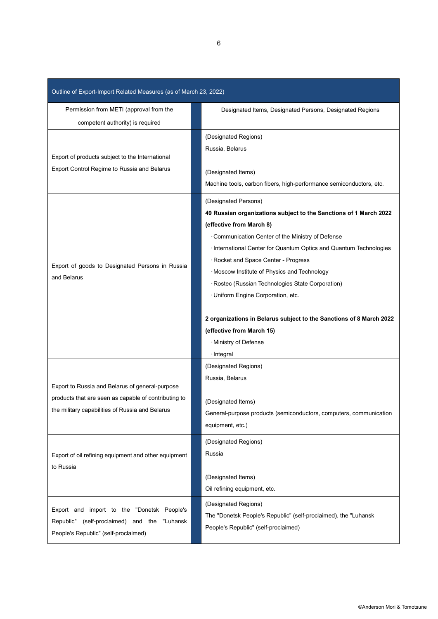| Outline of Export-Import Related Measures (as of March 23, 2022)                                                                                           |                                                                                                                                                                                                                                                                                                                                                                                                                                                                                                                                                                            |  |  |  |
|------------------------------------------------------------------------------------------------------------------------------------------------------------|----------------------------------------------------------------------------------------------------------------------------------------------------------------------------------------------------------------------------------------------------------------------------------------------------------------------------------------------------------------------------------------------------------------------------------------------------------------------------------------------------------------------------------------------------------------------------|--|--|--|
| Permission from METI (approval from the<br>competent authority) is required                                                                                | Designated Items, Designated Persons, Designated Regions                                                                                                                                                                                                                                                                                                                                                                                                                                                                                                                   |  |  |  |
| Export of products subject to the International                                                                                                            | (Designated Regions)<br>Russia, Belarus                                                                                                                                                                                                                                                                                                                                                                                                                                                                                                                                    |  |  |  |
| Export Control Regime to Russia and Belarus                                                                                                                | (Designated Items)<br>Machine tools, carbon fibers, high-performance semiconductors, etc.                                                                                                                                                                                                                                                                                                                                                                                                                                                                                  |  |  |  |
| Export of goods to Designated Persons in Russia<br>and Belarus                                                                                             | (Designated Persons)<br>49 Russian organizations subject to the Sanctions of 1 March 2022<br>(effective from March 8)<br>Communication Center of the Ministry of Defense<br>· International Center for Quantum Optics and Quantum Technologies<br>Rocket and Space Center - Progress<br>· Moscow Institute of Physics and Technology<br>· Rostec (Russian Technologies State Corporation)<br>· Uniform Engine Corporation, etc.<br>2 organizations in Belarus subject to the Sanctions of 8 March 2022<br>(effective from March 15)<br>· Ministry of Defense<br>· Integral |  |  |  |
| Export to Russia and Belarus of general-purpose<br>products that are seen as capable of contributing to<br>the military capabilities of Russia and Belarus | (Designated Regions)<br>Russia, Belarus<br>(Designated Items)<br>General-purpose products (semiconductors, computers, communication<br>equipment, etc.)                                                                                                                                                                                                                                                                                                                                                                                                                    |  |  |  |
| Export of oil refining equipment and other equipment<br>to Russia                                                                                          | (Designated Regions)<br>Russia<br>(Designated Items)<br>Oil refining equipment, etc.                                                                                                                                                                                                                                                                                                                                                                                                                                                                                       |  |  |  |
| Export and import to the "Donetsk People's<br>Republic"<br>(self-proclaimed) and the<br>"Luhansk<br>People's Republic" (self-proclaimed)                   | (Designated Regions)<br>The "Donetsk People's Republic" (self-proclaimed), the "Luhansk<br>People's Republic" (self-proclaimed)                                                                                                                                                                                                                                                                                                                                                                                                                                            |  |  |  |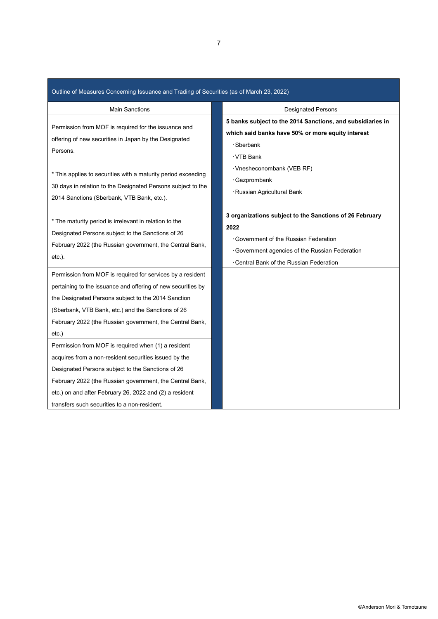| Outline of Measures Concerning Issuance and Trading of Securities (as of March 23, 2022)                                                                                                                                                                                                                                                                                                                                                                                                                                                                                                                                                                 |                                                                                                                                                                                                        |  |  |  |
|----------------------------------------------------------------------------------------------------------------------------------------------------------------------------------------------------------------------------------------------------------------------------------------------------------------------------------------------------------------------------------------------------------------------------------------------------------------------------------------------------------------------------------------------------------------------------------------------------------------------------------------------------------|--------------------------------------------------------------------------------------------------------------------------------------------------------------------------------------------------------|--|--|--|
| <b>Main Sanctions</b>                                                                                                                                                                                                                                                                                                                                                                                                                                                                                                                                                                                                                                    | <b>Designated Persons</b>                                                                                                                                                                              |  |  |  |
| Permission from MOF is required for the issuance and<br>offering of new securities in Japan by the Designated<br>Persons.                                                                                                                                                                                                                                                                                                                                                                                                                                                                                                                                | 5 banks subject to the 2014 Sanctions, and subsidiaries in<br>which said banks have 50% or more equity interest<br>· Sberbank<br>· VTB Bank                                                            |  |  |  |
| * This applies to securities with a maturity period exceeding<br>30 days in relation to the Designated Persons subject to the<br>2014 Sanctions (Sberbank, VTB Bank, etc.).                                                                                                                                                                                                                                                                                                                                                                                                                                                                              | · Vnesheconombank (VEB RF)<br>· Gazprombank<br>· Russian Agricultural Bank                                                                                                                             |  |  |  |
| * The maturity period is irrelevant in relation to the<br>Designated Persons subject to the Sanctions of 26<br>February 2022 (the Russian government, the Central Bank,<br>$etc.$ ).                                                                                                                                                                                                                                                                                                                                                                                                                                                                     | 3 organizations subject to the Sanctions of 26 February<br>2022<br>· Government of the Russian Federation<br>· Government agencies of the Russian Federation<br>Central Bank of the Russian Federation |  |  |  |
| Permission from MOF is required for services by a resident<br>pertaining to the issuance and offering of new securities by<br>the Designated Persons subject to the 2014 Sanction<br>(Sberbank, VTB Bank, etc.) and the Sanctions of 26<br>February 2022 (the Russian government, the Central Bank,<br>etc.)<br>Permission from MOF is required when (1) a resident<br>acquires from a non-resident securities issued by the<br>Designated Persons subject to the Sanctions of 26<br>February 2022 (the Russian government, the Central Bank,<br>etc.) on and after February 26, 2022 and (2) a resident<br>transfers such securities to a non-resident. |                                                                                                                                                                                                        |  |  |  |